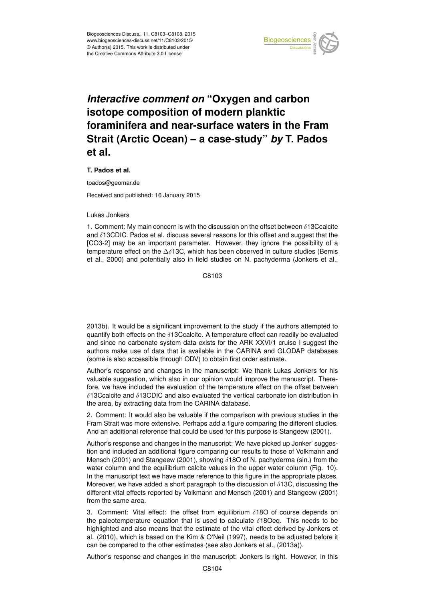

## *Interactive comment on* **"Oxygen and carbon isotope composition of modern planktic foraminifera and near-surface waters in the Fram Strait (Arctic Ocean) – a case-study"** *by* **T. Pados et al.**

## **T. Pados et al.**

tpados@geomar.de

Received and published: 16 January 2015

## Lukas Jonkers

1. Comment: My main concern is with the discussion on the offset between  $\delta$ 13Ccalcite and  $\delta$ 13CDIC. Pados et al. discuss several reasons for this offset and suggest that the [CO3-2] may be an important parameter. However, they ignore the possibility of a temperature effect on the  $\Delta\delta$ 13C, which has been observed in culture studies (Bemis et al., 2000) and potentially also in field studies on N. pachyderma (Jonkers et al.,

C8103

2013b). It would be a significant improvement to the study if the authors attempted to quantify both effects on the  $\delta$ 13Ccalcite. A temperature effect can readily be evaluated and since no carbonate system data exists for the ARK XXVI/1 cruise I suggest the authors make use of data that is available in the CARINA and GLODAP databases (some is also accessible through ODV) to obtain first order estimate.

Author's response and changes in the manuscript: We thank Lukas Jonkers for his valuable suggestion, which also in our opinion would improve the manuscript. Therefore, we have included the evaluation of the temperature effect on the offset between δ13Ccalcite and δ13CDIC and also evaluated the vertical carbonate ion distribution in the area, by extracting data from the CARINA database.

2. Comment: It would also be valuable if the comparison with previous studies in the Fram Strait was more extensive. Perhaps add a figure comparing the different studies. And an additional reference that could be used for this purpose is Stangeew (2001).

Author's response and changes in the manuscript: We have picked up Jonker' suggestion and included an additional figure comparing our results to those of Volkmann and Mensch (2001) and Stangeew (2001), showing  $\delta$ 18O of N. pachyderma (sin.) from the water column and the equilibrium calcite values in the upper water column (Fig. 10). In the manuscript text we have made reference to this figure in the appropriate places. Moreover, we have added a short paragraph to the discussion of  $\delta$ 13C, discussing the different vital effects reported by Volkmann and Mensch (2001) and Stangeew (2001) from the same area.

3. Comment: Vital effect: the offset from equilibrium  $\delta$ 180 of course depends on the paleotemperature equation that is used to calculate  $\delta$ 18Oeq. This needs to be highlighted and also means that the estimate of the vital effect derived by Jonkers et al. (2010), which is based on the Kim & O'Neil (1997), needs to be adjusted before it can be compared to the other estimates (see also Jonkers et al., (2013a)).

Author's response and changes in the manuscript: Jonkers is right. However, in this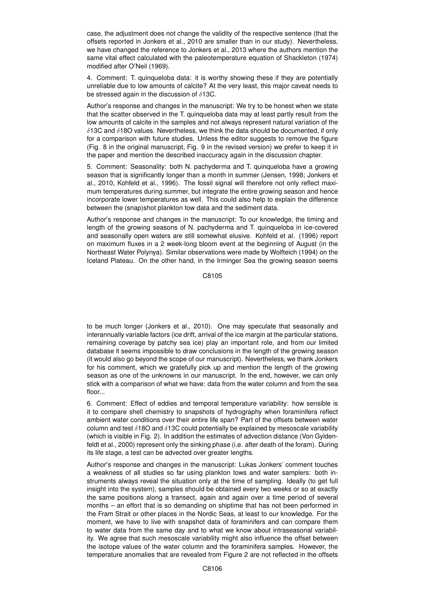case, the adjustment does not change the validity of the respective sentence (that the offsets reported in Jonkers et al., 2010 are smaller than in our study). Nevertheless, we have changed the reference to Jonkers et al., 2013 where the authors mention the same vital effect calculated with the paleotemperature equation of Shackleton (1974) modified after O'Neil (1969).

4. Comment: T. quinqueloba data: it is worthy showing these if they are potentially unreliable due to low amounts of calcite? At the very least, this major caveat needs to be stressed again in the discussion of  $\delta$ 13C.

Author's response and changes in the manuscript: We try to be honest when we state that the scatter observed in the T. quinqueloba data may at least partly result from the low amounts of calcite in the samples and not always represent natural variation of the  $\delta$ 13C and  $\delta$ 18O values. Nevertheless, we think the data should be documented, if only for a comparison with future studies. Unless the editor suggests to remove the figure (Fig. 8 in the original manuscript, Fig. 9 in the revised version) we prefer to keep it in the paper and mention the described inaccuracy again in the discussion chapter.

5. Comment: Seasonality: both N. pachyderma and T. quinqueloba have a growing season that is significantly longer than a month in summer (Jensen, 1998; Jonkers et al., 2010, Kohfeld et al., 1996). The fossil signal will therefore not only reflect maximum temperatures during summer, but integrate the entire growing season and hence incorporate lower temperatures as well. This could also help to explain the difference between the (snap)shot plankton tow data and the sediment data.

Author's response and changes in the manuscript: To our knowledge, the timing and length of the growing seasons of N. pachyderma and T. quinqueloba in ice-covered and seasonally open waters are still somewhat elusive. Kohfeld et al. (1996) report on maximum fluxes in a 2 week-long bloom event at the beginning of August (in the Northeast Water Polynya). Similar observations were made by Wolfteich (1994) on the Iceland Plateau. On the other hand, in the Irminger Sea the growing season seems

C8105

to be much longer (Jonkers et al., 2010). One may speculate that seasonally and interannually variable factors (ice drift, arrival of the ice margin at the particular stations, remaining coverage by patchy sea ice) play an important role, and from our limited database it seems impossible to draw conclusions in the length of the growing season (it would also go beyond the scope of our manuscript). Nevertheless, we thank Jonkers for his comment, which we gratefully pick up and mention the length of the growing season as one of the unknowns in our manuscript. In the end, however, we can only stick with a comparison of what we have: data from the water column and from the sea floor...

6. Comment: Effect of eddies and temporal temperature variability: how sensible is it to compare shell chemistry to snapshots of hydrography when foraminifera reflect ambient water conditions over their entire life span? Part of the offsets between water column and test  $\delta$ 18O and  $\delta$ 13C could potentially be explained by mesoscale variability (which is visible in Fig. 2). In addition the estimates of advection distance (Von Gyldenfeldt et al., 2000) represent only the sinking phase (i.e. after death of the foram). During its life stage, a test can be advected over greater lengths.

Author's response and changes in the manuscript: Lukas Jonkers' comment touches a weakness of all studies so far using plankton tows and water samplers: both instruments always reveal the situation only at the time of sampling. Ideally (to get full insight into the system), samples should be obtained every two weeks or so at exactly the same positions along a transect, again and again over a time period of several months – an effort that is so demanding on shiptime that has not been performed in the Fram Strait or other places in the Nordic Seas, at least to our knowledge. For the moment, we have to live with snapshot data of foraminifers and can compare them to water data from the same day and to what we know about intraseasonal variability. We agree that such mesoscale variability might also influence the offset between the isotope values of the water column and the foraminifera samples. However, the temperature anomalies that are revealed from Figure 2 are not reflected in the offsets